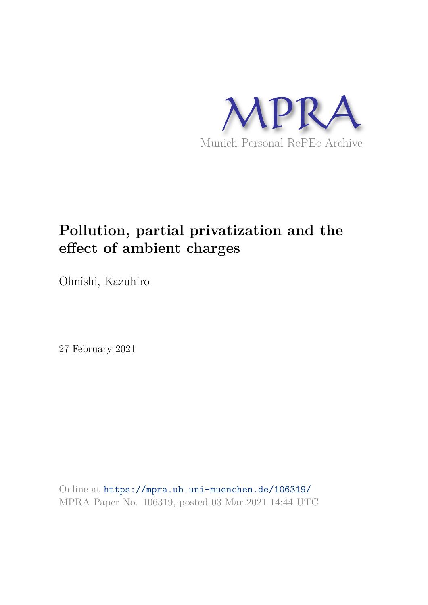

## **Pollution, partial privatization and the effect of ambient charges**

Ohnishi, Kazuhiro

27 February 2021

Online at https://mpra.ub.uni-muenchen.de/106319/ MPRA Paper No. 106319, posted 03 Mar 2021 14:44 UTC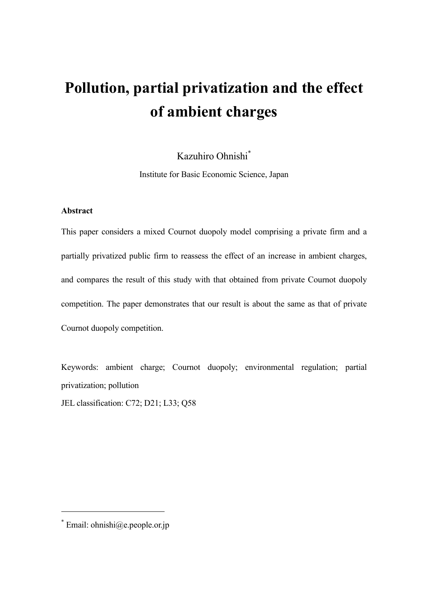# **Pollution, partial privatization and the effect of ambient charges**

#### Kazuhiro Ohnishi\*

Institute for Basic Economic Science, Japan

#### **Abstract**

This paper considers a mixed Cournot duopoly model comprising a private firm and a partially privatized public firm to reassess the effect of an increase in ambient charges, and compares the result of this study with that obtained from private Cournot duopoly competition. The paper demonstrates that our result is about the same as that of private Cournot duopoly competition.

Keywords: ambient charge; Cournot duopoly; environmental regulation; partial privatization; pollution

JEL classification: C72; D21; L33; Q58

-

<sup>\*</sup> Email: ohnishi@e.people.or.jp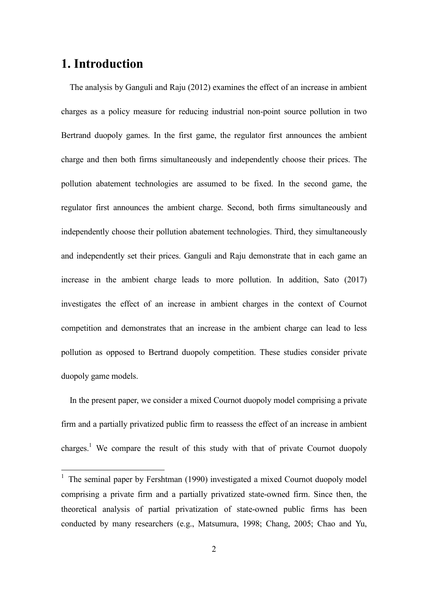#### **1. Introduction**

-

 The analysis by Ganguli and Raju (2012) examines the effect of an increase in ambient charges as a policy measure for reducing industrial non-point source pollution in two Bertrand duopoly games. In the first game, the regulator first announces the ambient charge and then both firms simultaneously and independently choose their prices. The pollution abatement technologies are assumed to be fixed. In the second game, the regulator first announces the ambient charge. Second, both firms simultaneously and independently choose their pollution abatement technologies. Third, they simultaneously and independently set their prices. Ganguli and Raju demonstrate that in each game an increase in the ambient charge leads to more pollution. In addition, Sato (2017) investigates the effect of an increase in ambient charges in the context of Cournot competition and demonstrates that an increase in the ambient charge can lead to less pollution as opposed to Bertrand duopoly competition. These studies consider private duopoly game models.

 In the present paper, we consider a mixed Cournot duopoly model comprising a private firm and a partially privatized public firm to reassess the effect of an increase in ambient charges.<sup>1</sup> We compare the result of this study with that of private Cournot duopoly

<sup>&</sup>lt;sup>1</sup> The seminal paper by Fershtman (1990) investigated a mixed Cournot duopoly model comprising a private firm and a partially privatized state-owned firm. Since then, the theoretical analysis of partial privatization of state-owned public firms has been conducted by many researchers (e.g., Matsumura, 1998; Chang, 2005; Chao and Yu,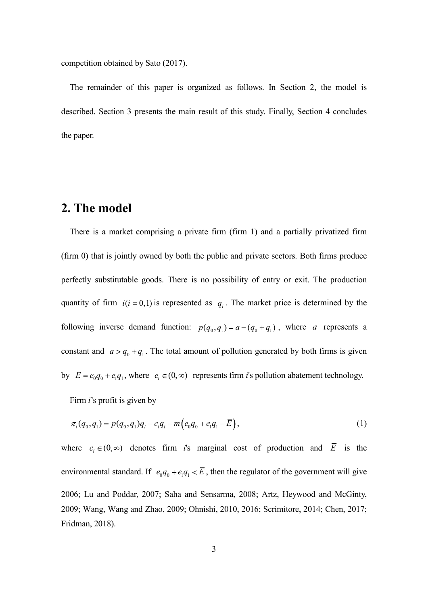competition obtained by Sato (2017).

 The remainder of this paper is organized as follows. In Section 2, the model is described. Section 3 presents the main result of this study. Finally, Section 4 concludes the paper.

#### **2. The model**

 There is a market comprising a private firm (firm 1) and a partially privatized firm (firm 0) that is jointly owned by both the public and private sectors. Both firms produce perfectly substitutable goods. There is no possibility of entry or exit. The production quantity of firm  $i(i = 0, 1)$  is represented as  $q_i$ . The market price is determined by the following inverse demand function:  $p(q_0, q_1) = a - (q_0 + q_1)$ , where *a* represents a constant and  $a > q_0 + q_1$ . The total amount of pollution generated by both firms is given by  $E = e_0 q_0 + e_1 q_1$ , where  $e_i \in (0, \infty)$  represents firm *i*'s pollution abatement technology.

Firm *i*'s profit is given by

$$
\pi_i(q_0, q_1) = p(q_0, q_1)q_i - c_iq_i - m(e_0q_0 + e_1q_1 - \overline{E}), \qquad (1)
$$

where  $c_i \in (0, \infty)$  denotes firm *i*'s marginal cost of production and *E* is the environmental standard. If  $e_0 q_0 + e_1 q_1 < \overline{E}$ , then the regulator of the government will give -2006; Lu and Poddar, 2007; Saha and Sensarma, 2008; Artz, Heywood and McGinty,

2009; Wang, Wang and Zhao, 2009; Ohnishi, 2010, 2016; Scrimitore, 2014; Chen, 2017; Fridman, 2018).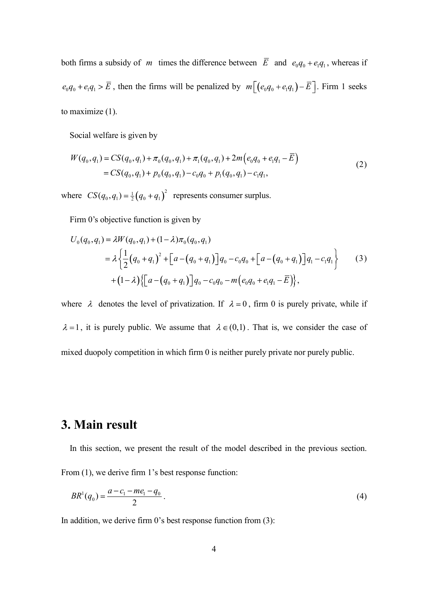both firms a subsidy of *m* times the difference between  $\overline{E}$  and  $e_0 q_0 + e_1 q_1$ , whereas if  $e_0 q_0 + e_1 q_1 > \overline{E}$ , then the firms will be penalized by  $m \left[ \left( e_0 q_0 + e_1 q_1 \right) - \overline{E} \right]$ . Firm 1 seeks to maximize (1).

Social welfare is given by

$$
W(q_0, q_1) = CS(q_0, q_1) + \pi_0(q_0, q_1) + \pi_1(q_0, q_1) + 2m(e_0q_0 + e_1q_1 - \overline{E})
$$
  
= CS(q\_0, q\_1) + p\_0(q\_0, q\_1) - c\_0q\_0 + p\_1(q\_0, q\_1) - c\_1q\_1, (2)

where  $CS(q_0, q_1) = \frac{1}{2}(q_0 + q_1)^2$  represents consumer surplus.

Firm 0's objective function is given by

$$
U_0(q_0, q_1) = \lambda W(q_0, q_1) + (1 - \lambda)\pi_0(q_0, q_1)
$$
  
=  $\lambda \left\{ \frac{1}{2} (q_0 + q_1)^2 + \left[ a - (q_0 + q_1) \right] q_0 - c_0 q_0 + \left[ a - (q_0 + q_1) \right] q_1 - c_1 q_1 \right\}$  (3)  
+  $(1 - \lambda) \left\{ \left[ a - (q_0 + q_1) \right] q_0 - c_0 q_0 - m \left( e_0 q_0 + e_1 q_1 - \overline{E} \right) \right\},$ 

where  $\lambda$  denotes the level of privatization. If  $\lambda = 0$ , firm 0 is purely private, while if  $\lambda = 1$ , it is purely public. We assume that  $\lambda \in (0,1)$ . That is, we consider the case of mixed duopoly competition in which firm 0 is neither purely private nor purely public.

#### **3. Main result**

In this section, we present the result of the model described in the previous section.

From (1), we derive firm 1's best response function:

$$
BR^{1}(q_{0}) = \frac{a - c_{1} - me_{1} - q_{0}}{2} \,. \tag{4}
$$

In addition, we derive firm 0's best response function from (3):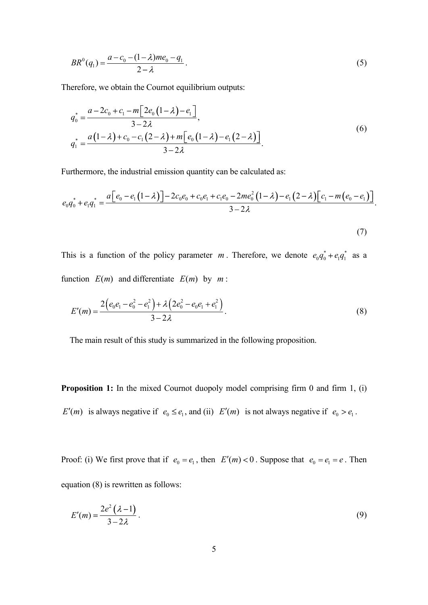$$
BR^{0}(q_{1}) = \frac{a - c_{0} - (1 - \lambda)me_{0} - q_{1}}{2 - \lambda}.
$$
\n(5)

Therefore, we obtain the Cournot equilibrium outputs:

$$
q_0^* = \frac{a - 2c_0 + c_1 - m \left[2e_0\left(1 - \lambda\right) - e_1\right]}{3 - 2\lambda},
$$
  
\n
$$
q_1^* = \frac{a\left(1 - \lambda\right) + c_0 - c_1\left(2 - \lambda\right) + m \left[e_0\left(1 - \lambda\right) - e_1\left(2 - \lambda\right)\right]}{3 - 2\lambda}.
$$
\n(6)

Furthermore, the industrial emission quantity can be calculated as:

$$
e_0q_0^* + e_1q_1^* = \frac{a\Big[e_0 - e_1(1-\lambda)\Big] - 2c_0e_0 + c_0e_1 + c_1e_0 - 2me_0^2\left(1-\lambda\right) - e_1(2-\lambda)\Big[c_1 - m\left(e_0 - e_1\right)\Big]}{3-2\lambda}.
$$

(7)

This is a function of the policy parameter *m*. Therefore, we denote  $e_0 q_0^* + e_1 q_1^*$  as a function  $E(m)$  and differentiate  $E(m)$  by  $m$ :

$$
E'(m) = \frac{2(e_0e_1 - e_0^2 - e_1^2) + \lambda(2e_0^2 - e_0e_1 + e_1^2)}{3 - 2\lambda}.
$$
\n(8)

The main result of this study is summarized in the following proposition.

**Proposition 1:** In the mixed Cournot duopoly model comprising firm 0 and firm 1, (i) *E'(m)* is always negative if  $e_0 \le e_1$ , and (ii)  $E'(m)$  is not always negative if  $e_0 > e_1$ .

Proof: (i) We first prove that if  $e_0 = e_1$ , then  $E'(m) < 0$ . Suppose that  $e_0 = e_1 = e$ . Then equation (8) is rewritten as follows:

$$
E'(m) = \frac{2e^2(\lambda - 1)}{3 - 2\lambda}.
$$
\n
$$
(9)
$$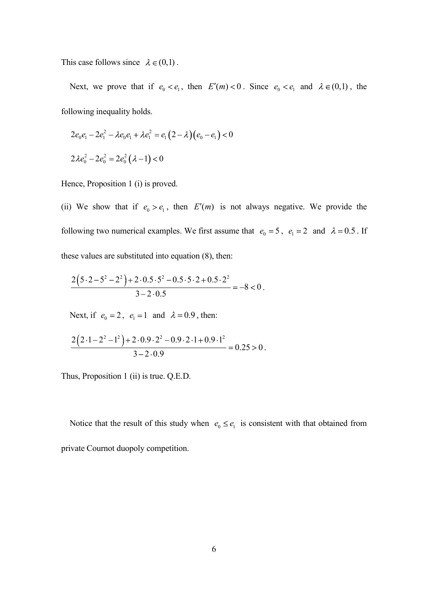This case follows since  $\lambda \in (0,1)$ .

Next, we prove that if  $e_0 < e_1$ , then  $E'(m) < 0$ . Since  $e_0 < e_1$  and  $\lambda \in (0,1)$ , the following inequality holds.

$$
2e_0e_1 - 2e_1^2 - \lambda e_0e_1 + \lambda e_1^2 = e_1(2 - \lambda)(e_0 - e_1) < 0
$$
  

$$
2\lambda e_0^2 - 2e_0^2 = 2e_0^2(\lambda - 1) < 0
$$

Hence, Proposition 1 (i) is proved.

(ii) We show that if  $e_0 > e_1$ , then  $E'(m)$  is not always negative. We provide the following two numerical examples. We first assume that  $e_0 = 5$ ,  $e_1 = 2$  and  $\lambda = 0.5$ . If these values are substituted into equation (8), then:

$$
\frac{2(5\cdot 2-5^2-2^2)+2\cdot 0.5\cdot 5^2-0.5\cdot 5\cdot 2+0.5\cdot 2^2}{3-2\cdot 0.5}=-8<0.
$$

Next, if  $e_0 = 2$ ,  $e_1 = 1$  and  $\lambda = 0.9$ , then:

$$
\frac{2(2\cdot1-2^2-1^2)+2\cdot0.9\cdot2^2-0.9\cdot2\cdot1+0.9\cdot1^2}{3-2\cdot0.9} = 0.25 > 0.
$$

Thus, Proposition 1 (ii) is true. Q.E.D.

Notice that the result of this study when  $e_0 \le e_1$  is consistent with that obtained from private Cournot duopoly competition.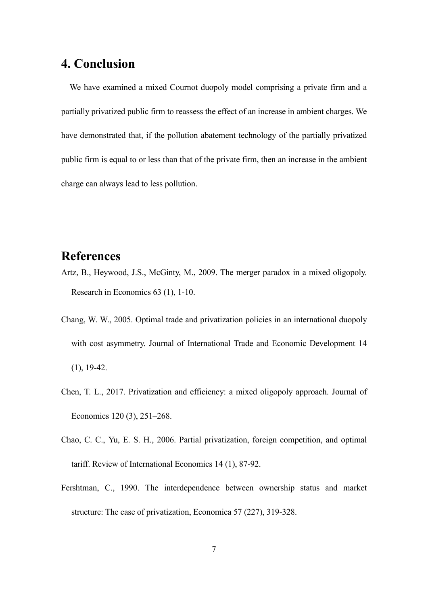### **4. Conclusion**

 We have examined a mixed Cournot duopoly model comprising a private firm and a partially privatized public firm to reassess the effect of an increase in ambient charges. We have demonstrated that, if the pollution abatement technology of the partially privatized public firm is equal to or less than that of the private firm, then an increase in the ambient charge can always lead to less pollution.

#### **References**

- Artz, B., Heywood, J.S., McGinty, M., 2009. The merger paradox in a mixed oligopoly. Research in Economics 63 (1), 1-10.
- Chang, W. W., 2005. Optimal trade and privatization policies in an international duopoly with cost asymmetry. Journal of International Trade and Economic Development 14 (1), 19-42.
- Chen, T. L., 2017. Privatization and efficiency: a mixed oligopoly approach. Journal of Economics 120 (3), 251–268.
- Chao, C. C., Yu, E. S. H., 2006. Partial privatization, foreign competition, and optimal tariff. Review of International Economics 14 (1), 87-92.
- Fershtman, C., 1990. The interdependence between ownership status and market structure: The case of privatization, Economica 57 (227), 319-328.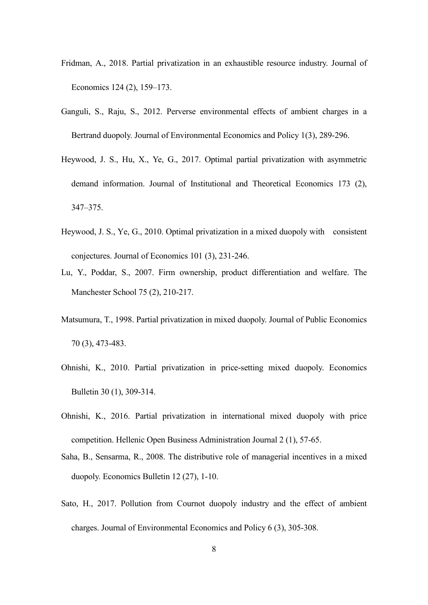- Fridman, A., 2018. Partial privatization in an exhaustible resource industry. Journal of Economics 124 (2), 159–173.
- Ganguli, S., Raju, S., 2012. Perverse environmental effects of ambient charges in a Bertrand duopoly. Journal of Environmental Economics and Policy 1(3), 289-296.
- Heywood, J. S., Hu, X., Ye, G., 2017. Optimal partial privatization with asymmetric demand information. Journal of Institutional and Theoretical Economics 173 (2), 347–375.
- Heywood, J. S., Ye, G., 2010. Optimal privatization in a mixed duopoly with consistent conjectures. Journal of Economics 101 (3), 231-246.
- Lu, Y., Poddar, S., 2007. Firm ownership, product differentiation and welfare. The Manchester School 75 (2), 210-217.
- Matsumura, T., 1998. Partial privatization in mixed duopoly. Journal of Public Economics 70 (3), 473-483.
- Ohnishi, K., 2010. Partial privatization in price-setting mixed duopoly. Economics Bulletin 30 (1), 309-314.
- Ohnishi, K., 2016. Partial privatization in international mixed duopoly with price competition. Hellenic Open Business Administration Journal 2 (1), 57-65.
- Saha, B., Sensarma, R., 2008. The distributive role of managerial incentives in a mixed duopoly. Economics Bulletin 12 (27), 1-10.
- Sato, H., 2017. Pollution from Cournot duopoly industry and the effect of ambient charges. Journal of Environmental Economics and Policy 6 (3), 305-308.